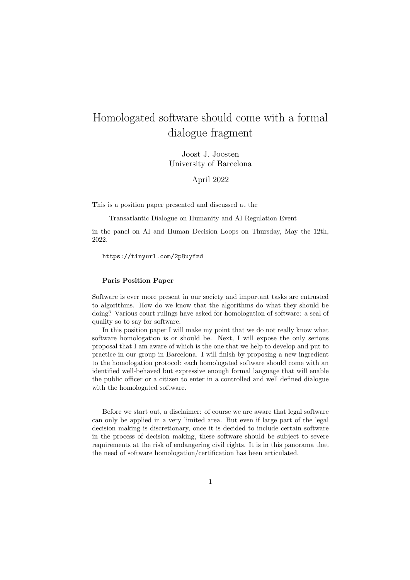## Homologated software should come with a formal dialogue fragment

Joost J. Joosten University of Barcelona

April 2022

This is a position paper presented and discussed at the

Transatlantic Dialogue on Humanity and AI Regulation Event

in the panel on AI and Human Decision Loops on Thursday, May the 12th, 2022.

https://tinyurl.com/2p8uyfzd

## Paris Position Paper

Software is ever more present in our society and important tasks are entrusted to algorithms. How do we know that the algorithms do what they should be doing? Various court rulings have asked for homologation of software: a seal of quality so to say for software.

In this position paper I will make my point that we do not really know what software homologation is or should be. Next, I will expose the only serious proposal that I am aware of which is the one that we help to develop and put to practice in our group in Barcelona. I will finish by proposing a new ingredient to the homologation protocol: each homologated software should come with an identified well-behaved but expressive enough formal language that will enable the public officer or a citizen to enter in a controlled and well defined dialogue with the homologated software.

Before we start out, a disclaimer: of course we are aware that legal software can only be applied in a very limited area. But even if large part of the legal decision making is discretionary, once it is decided to include certain software in the process of decision making, these software should be subject to severe requirements at the risk of endangering civil rights. It is in this panorama that the need of software homologation/certification has been articulated.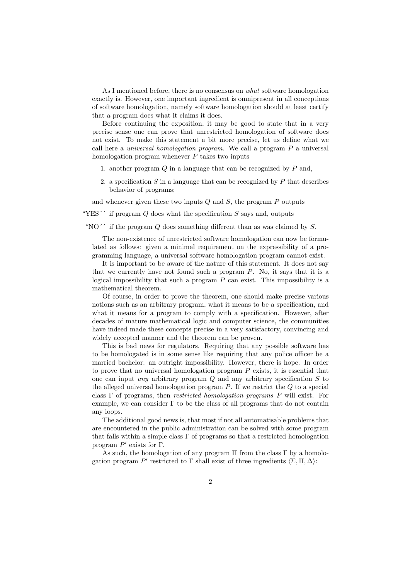As I mentioned before, there is no consensus on what software homologation exactly is. However, one important ingredient is omnipresent in all conceptions of software homologation, namely software homologation should at least certify that a program does what it claims it does.

Before continuing the exposition, it may be good to state that in a very precise sense one can prove that unrestricted homologation of software does not exist. To make this statement a bit more precise, let us define what we call here a *universal homologation program*. We call a program  $P$  a universal homologation program whenever  $P$  takes two inputs

- 1. another program  $Q$  in a language that can be recognized by  $P$  and,
- 2. a specification S in a language that can be recognized by  $P$  that describes behavior of programs;

and whenever given these two inputs  $Q$  and  $S$ , the program  $P$  outputs

"YES'' if program  $Q$  does what the specification  $S$  says and, outputs

"NO'' if the program  $Q$  does something different than as was claimed by  $S$ .

The non-existence of unrestricted software homologation can now be formulated as follows: given a minimal requirement on the expressibility of a programming language, a universal software homologation program cannot exist.

It is important to be aware of the nature of this statement. It does not say that we currently have not found such a program  $P$ . No, it says that it is a logical impossibility that such a program  $P$  can exist. This impossibility is a mathematical theorem.

Of course, in order to prove the theorem, one should make precise various notions such as an arbitrary program, what it means to be a specification, and what it means for a program to comply with a specification. However, after decades of mature mathematical logic and computer science, the communities have indeed made these concepts precise in a very satisfactory, convincing and widely accepted manner and the theorem can be proven.

This is bad news for regulators. Requiring that any possible software has to be homologated is in some sense like requiring that any police officer be a married bachelor: an outright impossibility. However, there is hope. In order to prove that no universal homologation program P exists, it is essential that one can input *any* arbitrary program  $Q$  and any arbitrary specification  $S$  to the alleged universal homologation program  $P$ . If we restrict the  $Q$  to a special class Γ of programs, then restricted homologation programs P will exist. For example, we can consider  $\Gamma$  to be the class of all programs that do not contain any loops.

The additional good news is, that most if not all automatisable problems that are encountered in the public administration can be solved with some program that falls within a simple class Γ of programs so that a restricted homologation program  $P'$  exists for  $\Gamma$ .

As such, the homologation of any program  $\Pi$  from the class  $\Gamma$  by a homologation program P' restricted to  $\Gamma$  shall exist of three ingredients  $\langle \Sigma, \Pi, \Delta \rangle$ :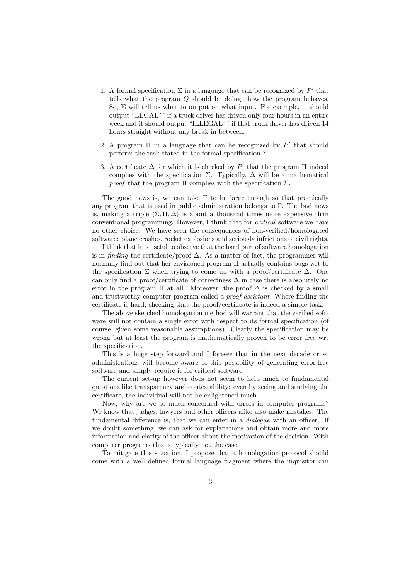- 1. A formal specification  $\Sigma$  in a language that can be recognized by  $P'$  that tells what the program Q should be doing: how the program behaves. So,  $\Sigma$  will tell us what to output on what input. For example, it should output "LEGAL´´ if a truck driver has driven only four hours in an entire week and it should output "ILLEGAL´´ if that truck driver has driven 14 hours straight without any break in between.
- 2. A program  $\Pi$  in a language that can be recognized by  $P'$  that should perform the task stated in the formal specification  $\Sigma$ .
- 3. A certificate  $\Delta$  for which it is checked by  $P'$  that the program  $\Pi$  indeed complies with the specification  $\Sigma$ . Typically,  $\Delta$  will be a mathematical *proof* that the program  $\Pi$  complies with the specification  $\Sigma$ .

The good news is, we can take  $\Gamma$  to be large enough so that practically any program that is used in public administration belongs to  $\Gamma$ . The bad news is, making a triple  $\langle \Sigma,\Pi,\Delta\rangle$  is about a thousand times more expensive than conventional programming. However, I think that for critical software we have no other choice. We have seen the consequences of non-verified/homologated software: plane crashes, rocket explosions and seriously infrictions of civil rights.

I think that it is useful to observe that the hard part of software homologation is in finding the certificate/proof  $\Delta$ . As a matter of fact, the programmer will normally find out that her envisioned program Π actually contains bugs wrt to the specification  $\Sigma$  when trying to come up with a proof/certificate  $\Delta$ . One can only find a proof/certificate of correctness  $\Delta$  in case there is absolutely no error in the program  $\Pi$  at all. Moreover, the proof  $\Delta$  is checked by a small and trustworthy computer program called a proof assistant. Where finding the certificate is hard, checking that the proof/certificate is indeed a simple task.

The above sketched homologation method will warrant that the verified software will not contain a single error with respect to its formal specification (of course, given some reasonable assumptions). Clearly the specification may be wrong but at least the program is mathematically proven to be error free wrt the specification.

This is a huge step forward and I foresee that in the next decade or so administrations will become aware of this possibility of generating error-free software and simply require it for critical software.

The current set-up however does not seem to help much to fundamental questions like transparency and contestability: even by seeing and studying the certificate, the individual will not be enlightened much.

Now, why are we so much concerned with errors in computer programs? We know that judges, lawyers and other officers alike also make mistakes. The fundamental difference is, that we can enter in a dialogue with an officer. If we doubt something, we can ask for explanations and obtain more and more information and clarity of the officer about the motivation of the decision. With computer programs this is typically not the case.

To mitigate this situation, I propose that a homologation protocol should come with a well defined formal language fragment where the inquisitor can